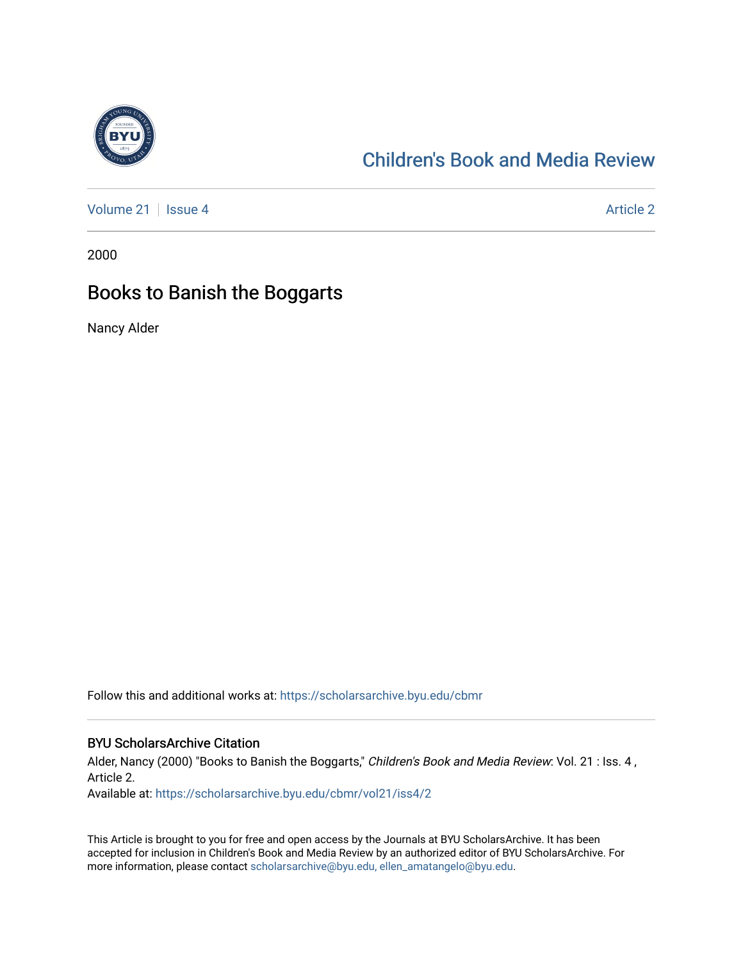

# [Children's Book and Media Review](https://scholarsarchive.byu.edu/cbmr)

[Volume 21](https://scholarsarchive.byu.edu/cbmr/vol21) | [Issue 4](https://scholarsarchive.byu.edu/cbmr/vol21/iss4) Article 2

2000

## Books to Banish the Boggarts

Nancy Alder

Follow this and additional works at: [https://scholarsarchive.byu.edu/cbmr](https://scholarsarchive.byu.edu/cbmr?utm_source=scholarsarchive.byu.edu%2Fcbmr%2Fvol21%2Fiss4%2F2&utm_medium=PDF&utm_campaign=PDFCoverPages) 

### BYU ScholarsArchive Citation

Alder, Nancy (2000) "Books to Banish the Boggarts," Children's Book and Media Review: Vol. 21 : Iss. 4, Article 2.

Available at: [https://scholarsarchive.byu.edu/cbmr/vol21/iss4/2](https://scholarsarchive.byu.edu/cbmr/vol21/iss4/2?utm_source=scholarsarchive.byu.edu%2Fcbmr%2Fvol21%2Fiss4%2F2&utm_medium=PDF&utm_campaign=PDFCoverPages) 

This Article is brought to you for free and open access by the Journals at BYU ScholarsArchive. It has been accepted for inclusion in Children's Book and Media Review by an authorized editor of BYU ScholarsArchive. For more information, please contact [scholarsarchive@byu.edu, ellen\\_amatangelo@byu.edu.](mailto:scholarsarchive@byu.edu,%20ellen_amatangelo@byu.edu)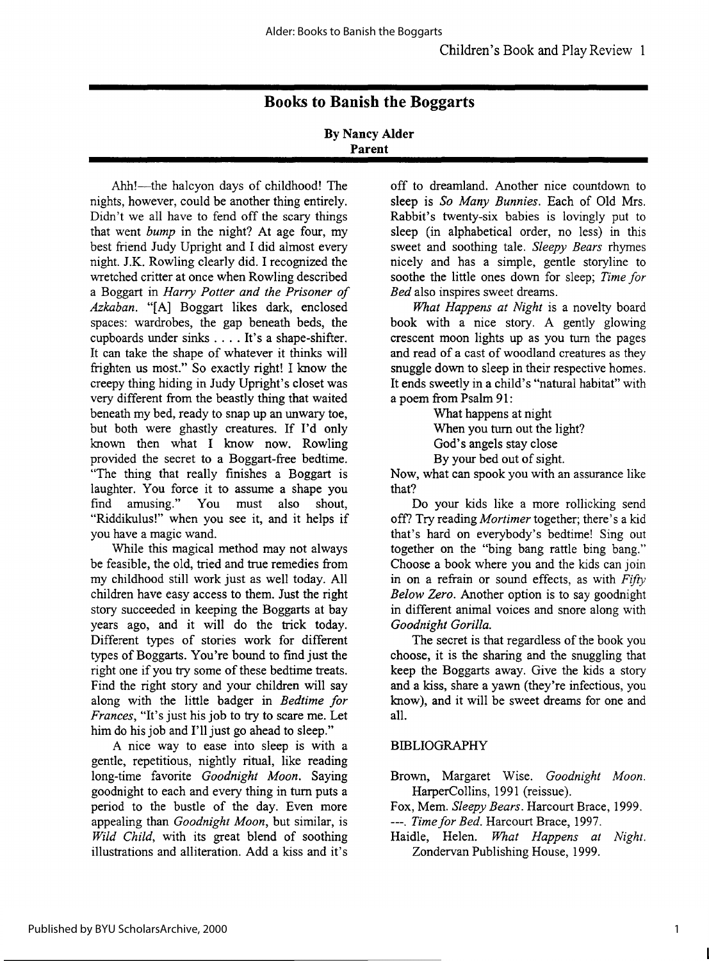## **Books to Banish the Boggarts**

#### **By Nancy Alder Parent**

Ahh!-the halcyon days of childhood! The nights, however, could be another thing entirely. Didn't we all have to fend off the scary things that went *bump* in the night? At age four, my best friend Judy Upright and I did almost every night. J.K. Rowling clearly did. I recognized the wretched critter at once when Rowling described a Boggart in *Harry Potter and the Prisoner of Azkaban.* "[A] Boggart likes dark, enclosed spaces: wardrobes, the gap beneath beds, the cupboards under sinks .... It's a shape-shifter. It can take the shape of whatever it thinks will frighten us most." So exactly right! I know the creepy thing hiding in Judy Upright's closet was very different from the beastly thing that waited beneath my bed, ready to snap up an unwary toe, but both were ghastly creatures. If I'd only known then what I know now. Rowling provided the secret to a Boggart-free bedtime. "The thing that really finishes a Boggart is laughter. You force it to assume a shape you find amusing. " You must also shout, "Riddikulus!" when you see it, and it helps if you have a magic wand.

While this magical method may not always be feasible, the old, tried and true remedies from my childhood still work just as well today. All children have easy access to them. Just the right story succeeded in keeping the Boggarts at bay years ago, and it will do the trick today. Different types of stories work for different types of Boggarts. You're bound to find just the right one if you try some of these bedtime treats. Find the right story and your children will say along with the little badger in *Bedtime for Frances,* "It's just his job to try to scare me. Let him do his job and I'll just go ahead to sleep."

A nice way to ease into sleep is with a gentle, repetitious, nightly ritual, like reading long-time favorite *Goodnight Moon.* Saying goodnight to each and every thing in turn puts a period to the bustle of the day. Even more appealing than *Goodnight Moon,* but similar, is *Wild Child,* with its great blend of soothing illustrations and alliteration. Add a kiss and it's

off to dreamland. Another nice countdown to sleep is *So Many Bunnies.* Each of Old Mrs. Rabbit's twenty-six babies is lovingly put to sleep (in alphabetical order, no less) in this sweet and soothing tale. *Sleepy Bears* rhymes nicely and has a simple, gentle storyline to soothe the little ones down for sleep; *Time for Bed* also inspires sweet dreams.

*What Happens at Night* is a novelty board book with a nice story. A gently glowing crescent moon lights up as you turn the pages and read of a cast of woodland creatures as they snuggle down to sleep in their respective homes. It ends sweetly in a child's "natural habitat" with a poem from Psalm 91:

What happens at night When you turn out the light? God's angels stay close By your bed out of sight.

Now, what can spook you with an assurance like that?

Do your kids like a more rollicking send off? Try reading *Mortimer* together; there's a kid that's hard on everybody's bedtime! Sing out together on the "bing bang rattle bing bang." Choose a book where you and the kids can join in on a refrain or sound effects, as with *Fifty Below Zero.* Another option is to say goodnight in different animal voices and snore along with *Goodnight Gorilla.* 

The secret is that regardless of the book you choose, it is the sharing and the snuggling that keep the Boggarts away. Give the kids a story and a kiss, share a yawn (they're infectious, you know), and it will be sweet dreams for one and all.

### **BIBLIOGRAPHY**

Brown, Margaret Wise. *Goodnight Moon.*  HarperCollins, 1991 (reissue).

Fox, Mem. *Sleepy Bears.* Harcourt Brace, 1999. ---. *Time for Bed.* Harcourt Brace, 1997.

Haidle, Helen. *What Happens at Night.*  Zondervan Publishing House, 1999.